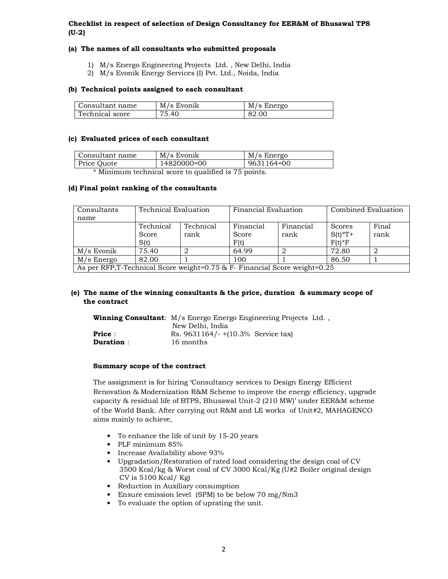# **Checklist in respect of selection of Design Consultancy for EER&M of Bhusawal TPS (U-2)**

# **(a) The names of all consultants who submitted proposals**

- 1) M/s Energo Engineering Projects Ltd. , New Delhi, India
- 2) M/s Evonik Energy Services (I) Pvt. Ltd., Noida, India

### **(b) Technical points assigned to each consultant**

| Consultant name | M/s Evonik | M/s Energo |
|-----------------|------------|------------|
| Technical score | 75.40      | 82.00      |

### **(c) Evaluated prices of each consultant**

| Consultant name | M/s Evonik  | M/s Energo |  |
|-----------------|-------------|------------|--|
| Price Quote     | 14820000=00 | 9631164=00 |  |
|                 |             |            |  |

\* Minimum technical score to qualified is 75 points.

## **(d) Final point ranking of the consultants**

| Consultants                                                                | Technical Evaluation       |                   | Financial Evaluation       |                   | Combined Evaluation             |               |
|----------------------------------------------------------------------------|----------------------------|-------------------|----------------------------|-------------------|---------------------------------|---------------|
| name                                                                       |                            |                   |                            |                   |                                 |               |
|                                                                            | Technical<br>Score<br>S(t) | Technical<br>rank | Financial<br>Score<br>F(t) | Financial<br>rank | Scores<br>$S(t)*T+$<br>$F(t)*F$ | Final<br>rank |
| M/s Evonik                                                                 | 75.40                      |                   | 64.99                      |                   | 72.80                           |               |
| $M/s$ Energo                                                               | 82.00                      |                   | 100                        |                   | 86.50                           |               |
| As per RFP, T-Technical Score weight=0.75 & F- Financial Score weight=0.25 |                            |                   |                            |                   |                                 |               |

# **(e) The name of the winning consultants & the price, duration & summary scope of the contract**

|                                   | Winning Consultant: M/s Energo Energo Engineering Projects Ltd.,<br>New Delhi, India |  |
|-----------------------------------|--------------------------------------------------------------------------------------|--|
| <b>Price:</b><br><b>Duration:</b> | $\text{Rs. } 9631164/- + (10.3\% \text{ Service tax})$<br>16 months                  |  |

#### **Summary scope of the contract**

The assignment is for hiring 'Consultancy services to Design Energy Efficient Renovation & Modernization R&M Scheme to improve the energy efficiency, upgrade capacity & residual life of BTPS, Bhusawal Unit-2 (210 MW)' under EER&M scheme of the World Bank. After carrying out R&M and LE works of Unit#2, MAHAGENCO aims mainly to achieve,

- To enhance the life of unit by 15-20 years
- PLF minimum 85%
- Increase Availability above 93%
- Upgradation/Restoration of rated load considering the design coal of CV 3500 Kcal/kg & Worst coal of CV 3000 Kcal/Kg (U#2 Boiler original design CV is 5100 Kcal/ Kg)
- Reduction in Auxiliary consumption
- Ensure emission level (SPM) to be below 70 mg/Nm3
- To evaluate the option of uprating the unit.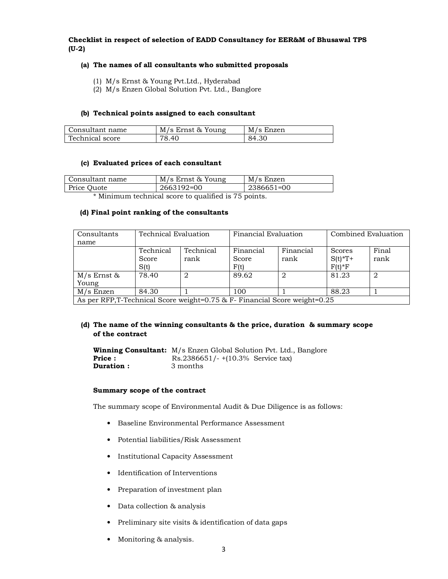# **Checklist in respect of selection of EADD Consultancy for EER&M of Bhusawal TPS (U-2)**

## **(a) The names of all consultants who submitted proposals**

- (1) M/s Ernst & Young Pvt.Ltd., Hyderabad
- (2) M/s Enzen Global Solution Pvt. Ltd., Banglore

## **(b) Technical points assigned to each consultant**

| Consultant name | M/s Ernst & Young | M/s Enzen |
|-----------------|-------------------|-----------|
| Technical score | 78.40             | 84.30     |

## **(c) Evaluated prices of each consultant**

| Consultant name                                         | M/s Ernst & Young | M/s Enzen     |  |
|---------------------------------------------------------|-------------------|---------------|--|
| Price Quote                                             | 2663192=00        | $12386651=00$ |  |
| $*$ Minimum tool wisel seem to suclified is $75$ points |                   |               |  |

Minimum technical score to qualified is 75 points.

#### **(d) Final point ranking of the consultants**

| Consultants                                                               | Technical Evaluation |           |           | Financial Evaluation |           | Combined Evaluation |  |
|---------------------------------------------------------------------------|----------------------|-----------|-----------|----------------------|-----------|---------------------|--|
| name                                                                      |                      |           |           |                      |           |                     |  |
|                                                                           | Technical            | Technical | Financial | Financial            | Scores    | Final               |  |
|                                                                           | Score                | rank      | Score     | rank                 | $S(t)*T+$ | rank                |  |
|                                                                           | S(t)                 |           | F(t)      |                      | $F(t)*F$  |                     |  |
| $M/s$ Ernst &                                                             | 78.40                | 2         | 89.62     |                      | 81.23     | 2                   |  |
| Young                                                                     |                      |           |           |                      |           |                     |  |
| M/s Enzen                                                                 | 84.30                |           | 100       |                      | 88.23     |                     |  |
| As ner RFP T-Technical Score weight=0.75 & F- Financial Score weight=0.25 |                      |           |           |                      |           |                     |  |

As per RFP,T-Technical Score weight=0.75 & F- Financial Score weight=0.25

## **(d) The name of the winning consultants & the price, duration & summary scope of the contract**

**Winning Consultant:** M/s Enzen Global Solution Pvt. Ltd., Banglore **Price :** Rs.2386651/- +(10.3% Service tax) **Duration :** 3 months

### **Summary scope of the contract**

The summary scope of Environmental Audit & Due Diligence is as follows:

- Baseline Environmental Performance Assessment
- Potential liabilities/Risk Assessment
- Institutional Capacity Assessment
- Identification of Interventions
- Preparation of investment plan
- Data collection & analysis
- Preliminary site visits & identification of data gaps
- Monitoring & analysis.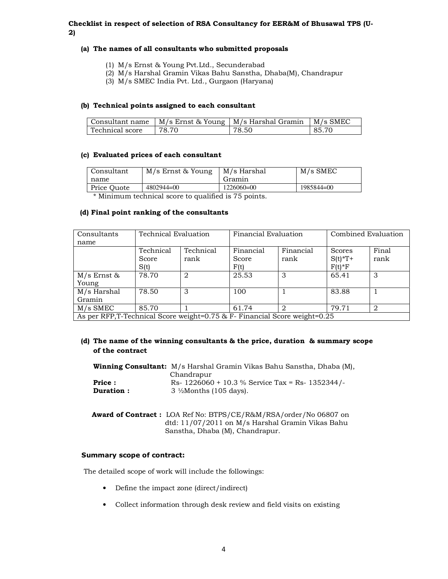# **Checklist in respect of selection of RSA Consultancy for EER&M of Bhusawal TPS (U-2)**

# **(a) The names of all consultants who submitted proposals**

- (1) M/s Ernst & Young Pvt.Ltd., Secunderabad
- (2) M/s Harshal Gramin Vikas Bahu Sanstha, Dhaba(M), Chandrapur
- (3) M/s SMEC India Pvt. Ltd., Gurgaon (Haryana)

## **(b) Technical points assigned to each consultant**

| Consultant name |       | M/s Ernst & Young   M/s Harshal Gramin | $M/s$ SMEC |
|-----------------|-------|----------------------------------------|------------|
| Technical score | 78.70 | 78.50                                  | 85.70      |

# **(c) Evaluated prices of each consultant**

| Consultant<br>name | M/s Ernst & Young | M/s Harshal<br>Gramin | $M/s$ SMEC |
|--------------------|-------------------|-----------------------|------------|
| Price Quote        | $4802944=00$      | $1226060=00$          | 1985844=00 |

\* Minimum technical score to qualified is 75 points.

## **(d) Final point ranking of the consultants**

| Consultants                                                                | Technical Evaluation       |                   | Financial Evaluation       |                   | Combined Evaluation             |               |
|----------------------------------------------------------------------------|----------------------------|-------------------|----------------------------|-------------------|---------------------------------|---------------|
| name                                                                       |                            |                   |                            |                   |                                 |               |
|                                                                            | Technical<br>Score<br>S(t) | Technical<br>rank | Financial<br>Score<br>F(t) | Financial<br>rank | Scores<br>$S(t)*T+$<br>$F(t)*F$ | Final<br>rank |
| $M/s$ Ernst &<br>Young                                                     | 78.70                      | 2                 | 25.53                      | 3                 | 65.41                           | 3             |
| M/s Harshal<br>Gramin                                                      | 78.50                      | 3                 | 100                        |                   | 83.88                           |               |
| M/s SMEC                                                                   | 85.70                      |                   | 61.74                      | 2                 | 79.71                           | 2             |
| As per RFP, T-Technical Score weight=0.75 & F- Financial Score weight=0.25 |                            |                   |                            |                   |                                 |               |

# **(d) The name of the winning consultants & the price, duration & summary scope of the contract**

|               | <b>Winning Consultant:</b> M/s Harshal Gramin Vikas Bahu Sanstha, Dhaba (M), |
|---------------|------------------------------------------------------------------------------|
|               | Chandrapur                                                                   |
| <b>Price:</b> | Rs- $1226060 + 10.3$ % Service Tax = Rs- 1352344/-                           |
| Duration:     | $3\frac{1}{2}$ Months (105 days).                                            |

| <b>Award of Contract:</b> LOA Ref No: BTPS/CE/R&M/RSA/order/No 06807 on |
|-------------------------------------------------------------------------|
| dtd: 11/07/2011 on M/s Harshal Gramin Vikas Bahu                        |
| Sanstha, Dhaba (M), Chandrapur.                                         |

#### **Summary scope of contract:**

The detailed scope of work will include the followings:

- Define the impact zone (direct/indirect)
- Collect information through desk review and field visits on existing